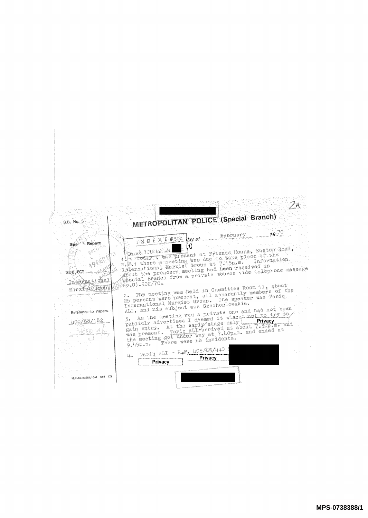| S.B. No. 5                     | METROPOLITAN POLICE (Special Branch)                                                                       |
|--------------------------------|------------------------------------------------------------------------------------------------------------|
|                                | $19^{10}$<br>February                                                                                      |
| <sup>*</sup> Report<br>Spe-    | INDEXED3th Way of                                                                                          |
|                                | 14 Today I was present at Friends House, Euston Road,                                                      |
|                                | N.W.1 where a meeting was due to take place of the<br>Information                                          |
| <b>SUBJECT</b> SUBJECT         | International Marxist Group at 7.15p.m.<br>shout the proposed meeting had been received in                 |
|                                | Special Branch from a private source vide telephone message                                                |
| International<br>MarxfetS@Pout |                                                                                                            |
|                                | The meeting was held in Committee Room 11, about<br>25 persons were present, all apparently members of the |
|                                | International Marxist Group. The speaker was Tariq                                                         |
| Reference to Papers            | ALI, and his subject was Czechoslovakia.<br>3. As the meeting was a private one and had not been           |
| 400/68/182                     | publicly advertised I deemed it wisest not to try to,                                                      |
|                                | gain entry. At the early stage only <b>Privacy</b><br>was present. Tariq ALIVarrived at about 7.30p.m. and |
|                                | the meeting got under way at 7,40p.m. and ended at<br>There were no incidents.                             |
|                                | $9.45p.$ $mo$                                                                                              |
|                                | Tariq ALI - R.F. 405/65/440<br>$u_{\bullet}$<br>Privacy                                                    |
|                                | Privacy                                                                                                    |
|                                |                                                                                                            |
| M.P.-69-83261/10M C68 (2)      |                                                                                                            |
|                                |                                                                                                            |